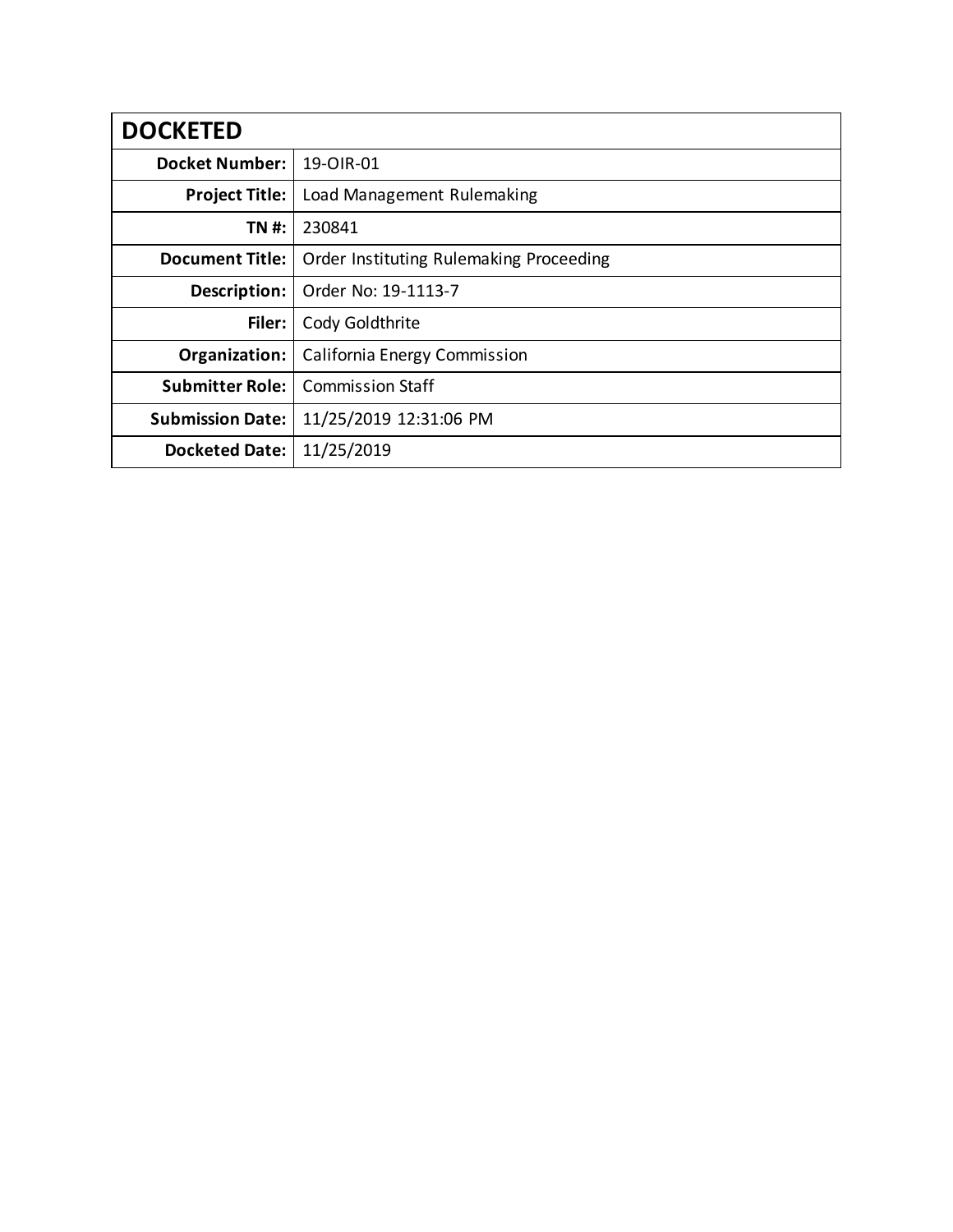| <b>DOCKETED</b>         |                                         |
|-------------------------|-----------------------------------------|
| <b>Docket Number:</b>   | 19-OIR-01                               |
| <b>Project Title:</b>   | Load Management Rulemaking              |
| TN #:                   | 230841                                  |
| <b>Document Title:</b>  | Order Instituting Rulemaking Proceeding |
| Description:            | Order No: 19-1113-7                     |
| Filer:                  | Cody Goldthrite                         |
| Organization:           | California Energy Commission            |
| <b>Submitter Role:</b>  | <b>Commission Staff</b>                 |
| <b>Submission Date:</b> | 11/25/2019 12:31:06 PM                  |
| <b>Docketed Date:</b>   | 11/25/2019                              |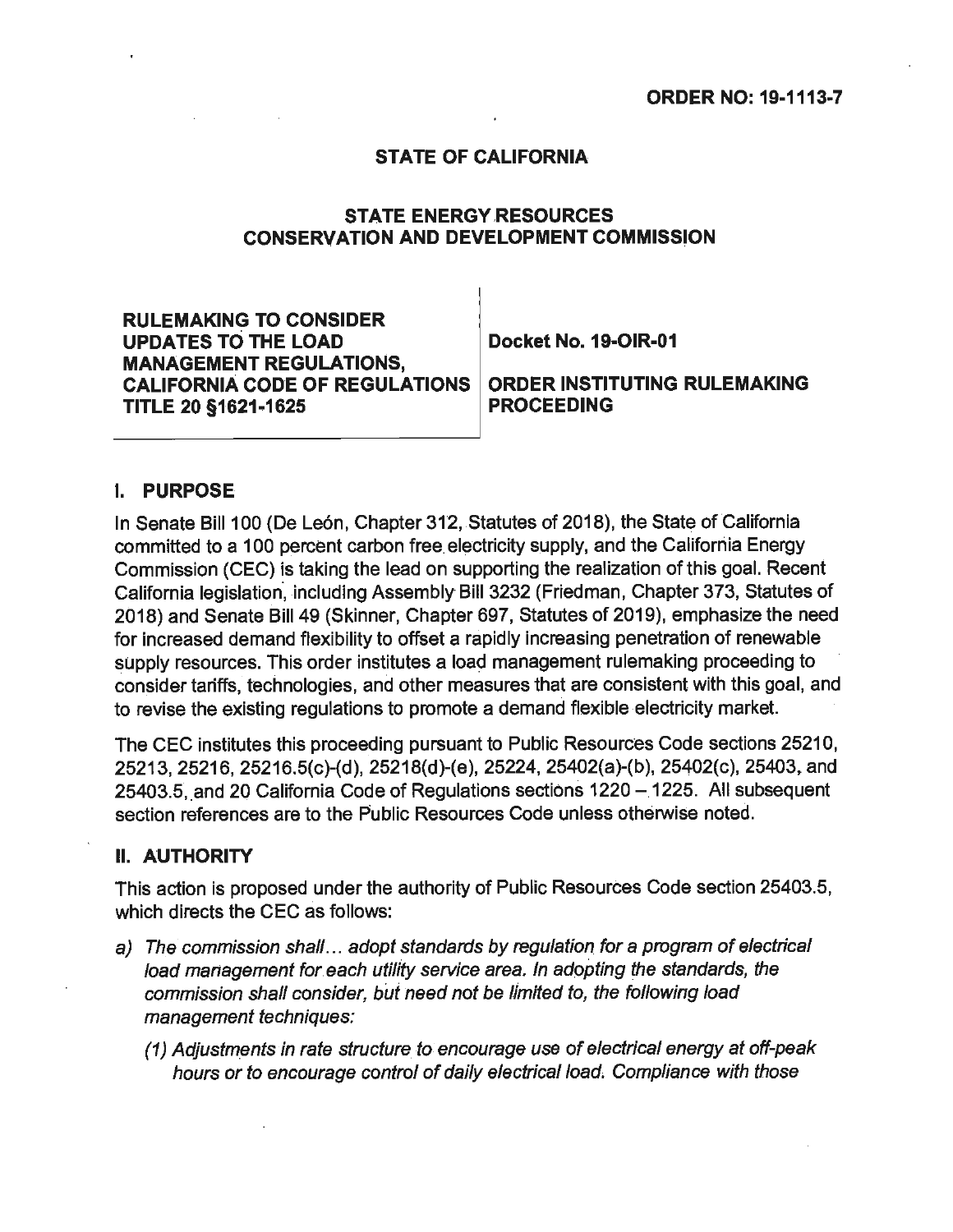### **STATE OF CALIFORNIA**

### **STATE ENERGY RESOURCES CONSERVATION AND DEVELOPMENT COMMISSION**

**RULEMAKING TO CONSIDER**  UPDATES TO THE LOAD Docket No. 19-OIR-01 **MANAGEMENT REGULATIONS. CALIFORNIA CODE OF REGULATIONS | ORDER INSTITUTING RULEMAKING TITLE 20 §1621-1625 PROCEEDING** 

#### I. **PURPOSE**

In Senate Bill 100 (De León, Chapter 312, Statutes of 2018), the State of California committed to a 100 percent carbon free. electricity supply, and the California Energy Commission (CEC) is taking the lead on supporting the realization of this goal. Recent California legislation, including Assembly Bill 3232 (Friedman, Chapter 373, Statutes of 2018) and Senate Bill 49 (Skinner, Chapter 697, Statutes of 2019), emphasize the need for increased demand flexibility to offset a rapidly increasing penetration of renewable supply resources. This order institutes a load management rulemaking proceeding to consider tariffs, technologies, and other measures that are consistent with this goal, and to revise the existing regulations to promote a demand flexible electricity market.

The CEC institutes this proceeding pursuant to Public Resources Code sections 25210, 25213, 25216, 25216.5(c)-(d), 25218(d)-(e), 25224, 25402(a)-(b), 25402(c), 25403, and 25403.5, and 20 California Code of Regulations sections 1220 - 1225. All subsequent section references are to the Public Resources Code unless otherwise noted.

#### II. **AUTHORITY**

This action is proposed under the authority of Public Resources Code section 25403.5, which directs the CEC as follows:

- a) The commission shall... adopt standards by regulation for a program of electrical load management for each utility service area. In adopting the standards, the commission shall consider, but need not be limited to, the following load management techniques:
	- (1) Adjustm\_ents in rate structure to encourage use of electrical energy at off-peak hours or to encourage control of daily electrical load. Compliance with those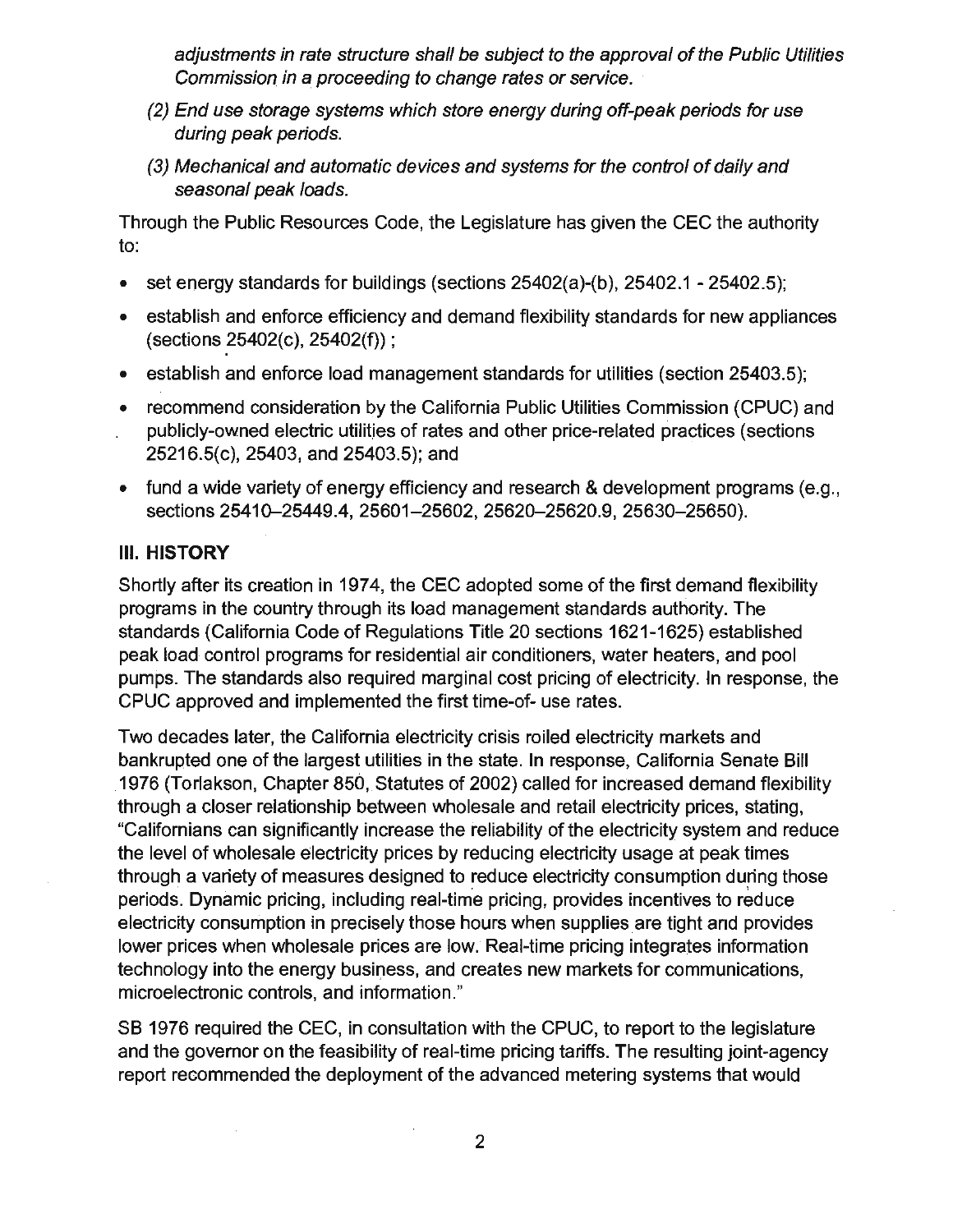adjustments in rate structure shall be subject to the approval of the Public Utilities Commission in a proceeding to change rates or service.

- (2) End use storage systems which store energy during off-peak periods for use during peak periods.
- (3) Mechanical and automatic devices and systems for the control of daily and seasonal peak loads.

Through the Public Resources Code, the Legislature has given the CEC the authority to:

- set energy standards for buildings (sections  $25402(a)$ -(b),  $25402.1 25402.5$ ;
- establish and enforce efficiency and demand flexibility standards for new appliances (sections 25402(c), 25402(f));
- establish and enforce load management standards for utilities (section 25403.5);
- recommend consideration by the California Public Utilities Commission (CPUC) and publicly-owned electric utilities of rates and other price-related practices (sections 25216.5(c), 25403, and 25403.5); and
- fund a wide variety of energy efficiency and research & development programs (e.g., sections 25410-25449.4, 25601-25602, 25620-25620.9, 25630-25650).

## **Ill. HISTORY**

Shortly after its creation in 1974, the CEC adopted some of the first demand flexibility programs in the country through its load management standards authority. The standards (California Code of Regulations Title 20 sections 1621-1625) established peak load control programs for residential air conditioners, water heaters, and pool pumps. The standards also required marginal cost pricing of electricity. In response, the CPUC approved and implemented the first time-of- use rates.

Two decades later, the California electricity crisis roiled electricity markets and bankrupted one of the largest utilities in the state. In response, California Senate Bill .1976 (Torlakson, Chapter 850, Statutes of 2002) called for increased demand flexibility through a closer relationship between wholesale and retail electricity prices, stating, "Californians can significantly increase the reliability of the electricity system and reduce the level of wholesale electricity prices by reducing electricity usage at peak times through a variety of measures designed to reduce electricity consumption during those periods. Dynamic pricing, including real-time pricing, provides incentives to reduce electricity consumption in precisely those hours when supplies are tight and provides lower prices when wholesale prices are low. Real-time pricing integrates information technology into the energy business, and creates new markets for communications, microelectronic controls, and information."

SB 1976 required the CEC, in consultation with the CPUC, to report to the legislature and the governor on the feasibility of real-time pricing tariffs. The resulting joint-agency report recommended the deployment of the advanced metering systems that would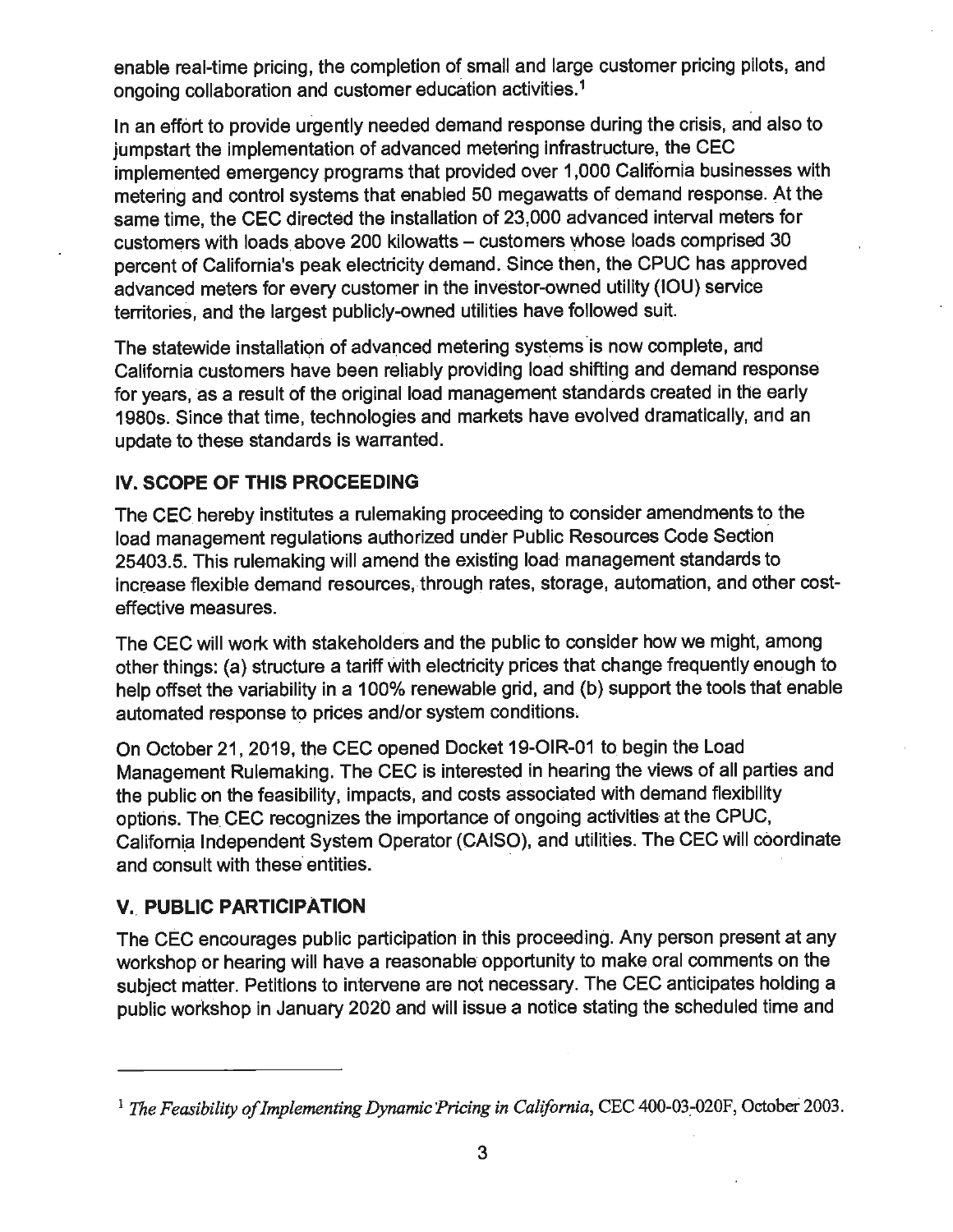enable real-time pricing, the completion of small and large customer pricing pilots, and ongoing collaboration and customer education activities.<sup>1</sup>

In an effort to provide urgently needed demand response during the crisis, and also to jumpstart the implementation of advanced metering infrastructure, the CEC implemented emergency programs that provided over 1,000 California businesses with metering and control systems that enabled 50 megawatts of demand response. At the same time, the CEC directed the installation of 23,000 advanced interval meters for customers with loads above 200 kilowatts - customers whose loads comprised 30 percent of California's peak electricity demand. Since then, the CPUC has approved advanced meters for every customer in the investor-owned utility (IOU) service territories, and the largest publicly-owned utilities have followed suit.

The statewide installation of advanced metering systems is now complete, and California customers have been reliably providing load shifting and demand response for years, as a result of the original load management standards created in the early 1980s. Since that time, technologies and markets have evolved dramatically, and an update to these standards is warranted.

### **IV. SCOPE OF THIS PROCEEDING**

The CEC hereby institutes a rulemaking proceeding to consider amendments to the load management regulations authorized under Public Resources Code Section 25403.5. This rulemaking will amend the existing load management standards to increase flexible demand resources, through rates, storage, automation, and other costeffective measures.

The CEC will work with stakeholders and the public to consider how we might, among other things: (a) structure a tariff with electricity prices that change frequently enough to help offset the variability in a 100% renewable grid, and (b) support the tools that enable automated response to prices and/or system conditions,

On October 21, 2019, the CEC opened Docket 19-0IR-01 to begin the Load Management Rulemaking. The CEC is interested in hearing the views of all parties and the public on the feasibility, impacts, and costs associated with demand flexibility options. The. CEC recognizes the importance of ongoing activities at the CPUC, California Independent System Operator (CAISO), and utilities. The CEC will coordinate and consult with these entities.

## **V.\_ PUBLIC PARTICIPATION**

The CEC encourages public participation in this proceeding. Any person present at any workshop or hearing will have a reasonable opportunity to make oral comments on the subject matter. Petitions to intervene are not necessary. The CEC anticipates holding a public workshop in January 2020 and will issue a notice stating the scheduled time and

<sup>&</sup>lt;sup>1</sup> The Feasibility of Implementing Dynamic Pricing in California, CEC 400-03-020F, October 2003.